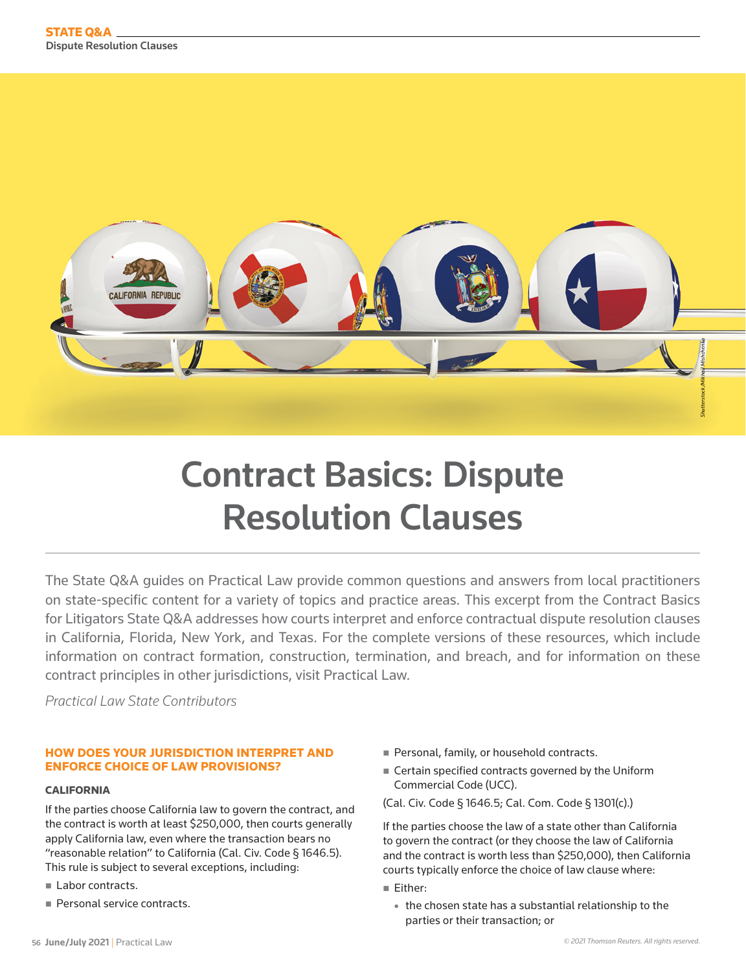

# Contract Basics: Dispute Resolution Clauses

The State Q&A guides on Practical Law provide common questions and answers from local practitioners on state-specific content for a variety of topics and practice areas. This excerpt from the Contract Basics for Litigators State Q&A addresses how courts interpret and enforce contractual dispute resolution clauses in California, Florida, New York, and Texas. For the complete versions of these resources, which include information on contract formation, construction, termination, and breach, and for information on these contract principles in other jurisdictions, visit Practical Law.

*Practical Law State Contributors*

# HOW DOES YOUR JURISDICTION INTERPRET AND ENFORCE CHOICE OF LAW PROVISIONS?

# CALIFORNIA

If the parties choose California law to govern the contract, and the contract is worth at least \$250,000, then courts generally apply California law, even where the transaction bears no "reasonable relation" to California (Cal. Civ. Code § 1646.5). This rule is subject to several exceptions, including:

- Labor contracts.
- Personal service contracts.
- Personal, family, or household contracts.
- Certain specified contracts governed by the Uniform Commercial Code (UCC).

(Cal. Civ. Code § 1646.5; Cal. Com. Code § 1301(c).)

If the parties choose the law of a state other than California to govern the contract (or they choose the law of California and the contract is worth less than \$250,000), then California courts typically enforce the choice of law clause where:

Either:

• the chosen state has a substantial relationship to the parties or their transaction; or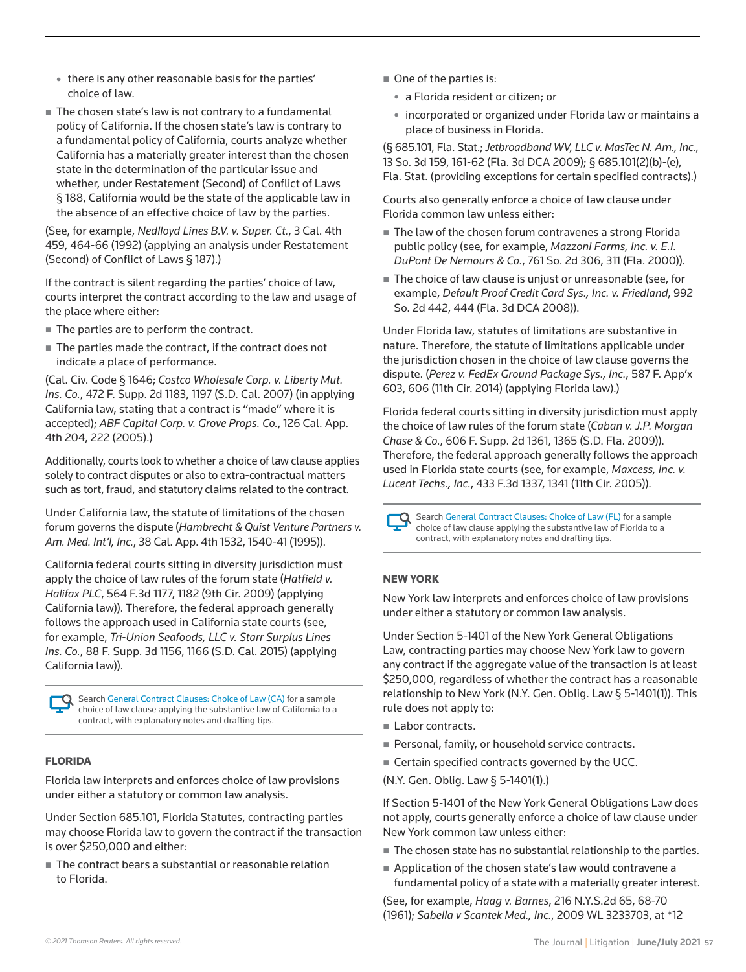- there is any other reasonable basis for the parties' choice of law.
- The chosen state's law is not contrary to a fundamental policy of California. If the chosen state's law is contrary to a fundamental policy of California, courts analyze whether California has a materially greater interest than the chosen state in the determination of the particular issue and whether, under Restatement (Second) of Conflict of Laws § 188, California would be the state of the applicable law in the absence of an effective choice of law by the parties.

(See, for example, *Nedlloyd Lines B.V. v. Super. Ct.*, 3 Cal. 4th 459, 464-66 (1992) (applying an analysis under Restatement (Second) of Conflict of Laws § 187).)

If the contract is silent regarding the parties' choice of law, courts interpret the contract according to the law and usage of the place where either:

- The parties are to perform the contract.
- The parties made the contract, if the contract does not indicate a place of performance.

(Cal. Civ. Code § 1646; *Costco Wholesale Corp. v. Liberty Mut. Ins. Co.*, 472 F. Supp. 2d 1183, 1197 (S.D. Cal. 2007) (in applying California law, stating that a contract is "made" where it is accepted); *ABF Capital Corp. v. Grove Props. Co.*, 126 Cal. App. 4th 204, 222 (2005).)

Additionally, courts look to whether a choice of law clause applies solely to contract disputes or also to extra-contractual matters such as tort, fraud, and statutory claims related to the contract.

Under California law, the statute of limitations of the chosen forum governs the dispute (*Hambrecht & Quist Venture Partners v. Am. Med. Int'l, Inc.*, 38 Cal. App. 4th 1532, 1540-41 (1995)).

California federal courts sitting in diversity jurisdiction must apply the choice of law rules of the forum state (*Hatfield v. Halifax PLC*, 564 F.3d 1177, 1182 (9th Cir. 2009) (applying California law)). Therefore, the federal approach generally follows the approach used in California state courts (see, for example, *Tri-Union Seafoods, LLC v. Starr Surplus Lines Ins. Co.*, 88 F. Supp. 3d 1156, 1166 (S.D. Cal. 2015) (applying California law)).

Search [General Contract Clauses: Choice of Law \(CA\)](https://us.practicallaw.thomsonreuters.com/w-000-0276?view=hidealldraftingnotes) for a sample choice of law clause applying the substantive law of California to a contract, with explanatory notes and drafting tips.

## FLORIDA

Florida law interprets and enforces choice of law provisions under either a statutory or common law analysis.

Under Section 685.101, Florida Statutes, contracting parties may choose Florida law to govern the contract if the transaction is over \$250,000 and either:

■ The contract bears a substantial or reasonable relation to Florida.

- One of the parties is:
	- a Florida resident or citizen; or
	- incorporated or organized under Florida law or maintains a place of business in Florida.

(§ 685.101, Fla. Stat.; *Jetbroadband WV, LLC v. MasTec N. Am., Inc.*, 13 So. 3d 159, 161-62 (Fla. 3d DCA 2009); § 685.101(2)(b)-(e), Fla. Stat. (providing exceptions for certain specified contracts).)

Courts also generally enforce a choice of law clause under Florida common law unless either:

- The law of the chosen forum contravenes a strong Florida public policy (see, for example, *Mazzoni Farms, Inc. v. E.I. DuPont De Nemours & Co.*, 761 So. 2d 306, 311 (Fla. 2000)).
- The choice of law clause is unjust or unreasonable (see, for example, *Default Proof Credit Card Sys., Inc. v. Friedland*, 992 So. 2d 442, 444 (Fla. 3d DCA 2008)).

Under Florida law, statutes of limitations are substantive in nature. Therefore, the statute of limitations applicable under the jurisdiction chosen in the choice of law clause governs the dispute. (*Perez v. FedEx Ground Package Sys., Inc.*, 587 F. App'x 603, 606 (11th Cir. 2014) (applying Florida law).)

Florida federal courts sitting in diversity jurisdiction must apply the choice of law rules of the forum state (*Caban v. J.P. Morgan Chase & Co.*, 606 F. Supp. 2d 1361, 1365 (S.D. Fla. 2009)). Therefore, the federal approach generally follows the approach used in Florida state courts (see, for example, *Maxcess, Inc. v. Lucent Techs., Inc.*, 433 F.3d 1337, 1341 (11th Cir. 2005)).

Search [General Contract Clauses: Choice of Law \(FL\)](https://us.practicallaw.thomsonreuters.com/w-000-0204?view=hidealldraftingnotes) for a sample choice of law clause applying the substantive law of Florida to a contract, with explanatory notes and drafting tips.

## NEW YORK

New York law interprets and enforces choice of law provisions under either a statutory or common law analysis.

Under Section 5-1401 of the New York General Obligations Law, contracting parties may choose New York law to govern any contract if the aggregate value of the transaction is at least \$250,000, regardless of whether the contract has a reasonable relationship to New York (N.Y. Gen. Oblig. Law § 5-1401(1)). This rule does not apply to:

- Labor contracts.
- Personal, family, or household service contracts.
- Certain specified contracts governed by the UCC.
- (N.Y. Gen. Oblig. Law § 5-1401(1).)

If Section 5-1401 of the New York General Obligations Law does not apply, courts generally enforce a choice of law clause under New York common law unless either:

- The chosen state has no substantial relationship to the parties.
- Application of the chosen state's law would contravene a fundamental policy of a state with a materially greater interest.

(See, for example, *Haag v. Barnes*, 216 N.Y.S.2d 65, 68-70 (1961); *Sabella v Scantek Med., Inc.*, 2009 WL 3233703, at \*12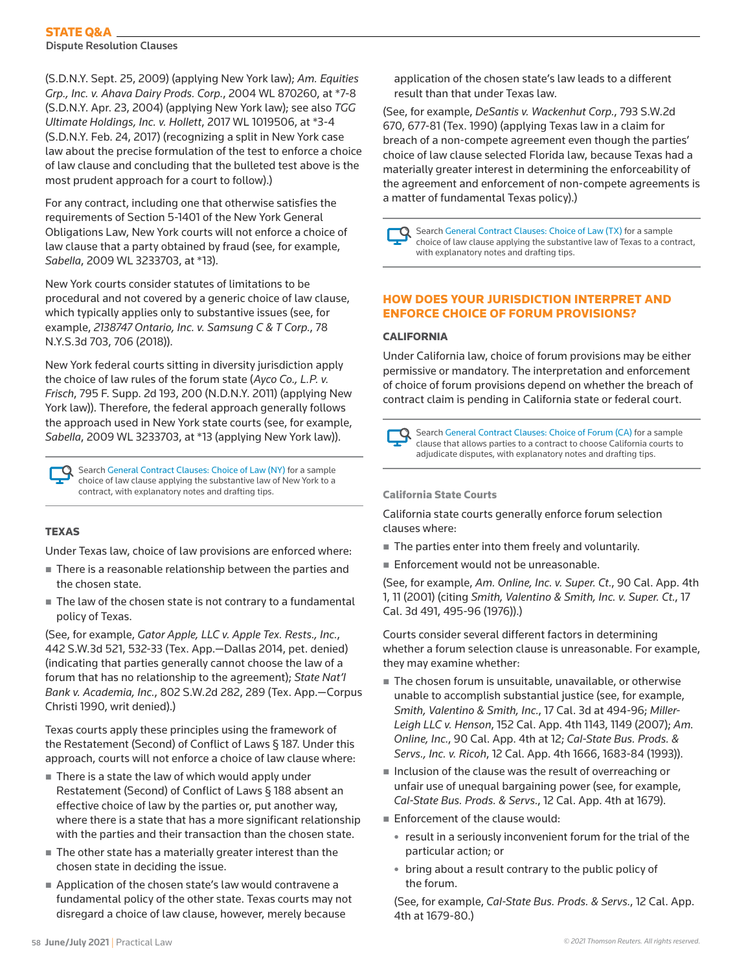# STATE Q&A

Dispute Resolution Clauses

(S.D.N.Y. Sept. 25, 2009) (applying New York law); *Am. Equities Grp., Inc. v. Ahava Dairy Prods. Corp.*, 2004 WL 870260, at \*7-8 (S.D.N.Y. Apr. 23, 2004) (applying New York law); see also *TGG Ultimate Holdings, Inc. v. Hollett*, 2017 WL 1019506, at \*3-4 (S.D.N.Y. Feb. 24, 2017) (recognizing a split in New York case law about the precise formulation of the test to enforce a choice of law clause and concluding that the bulleted test above is the most prudent approach for a court to follow).)

For any contract, including one that otherwise satisfies the requirements of Section 5-1401 of the New York General Obligations Law, New York courts will not enforce a choice of law clause that a party obtained by fraud (see, for example, *Sabella*, 2009 WL 3233703, at \*13).

New York courts consider statutes of limitations to be procedural and not covered by a generic choice of law clause, which typically applies only to substantive issues (see, for example, *2138747 Ontario, Inc. v. Samsung C & T Corp.*, 78 N.Y.S.3d 703, 706 (2018)).

New York federal courts sitting in diversity jurisdiction apply the choice of law rules of the forum state (*Ayco Co., L.P. v. Frisch*, 795 F. Supp. 2d 193, 200 (N.D.N.Y. 2011) (applying New York law)). Therefore, the federal approach generally follows the approach used in New York state courts (see, for example, *Sabella*, 2009 WL 3233703, at \*13 (applying New York law)).

Search [General Contract Clauses: Choice of Law \(NY\)](https://us.practicallaw.thomsonreuters.com/w-000-0387?view=hidealldraftingnotes) for a sample choice of law clause applying the substantive law of New York to a contract, with explanatory notes and drafting tips.

# **TEXAS**

Under Texas law, choice of law provisions are enforced where:

- There is a reasonable relationship between the parties and the chosen state.
- The law of the chosen state is not contrary to a fundamental policy of Texas.

(See, for example, *Gator Apple, LLC v. Apple Tex. Rests., Inc.*, 442 S.W.3d 521, 532-33 (Tex. App.—Dallas 2014, pet. denied) (indicating that parties generally cannot choose the law of a forum that has no relationship to the agreement); *State Nat'l Bank v. Academia, Inc.*, 802 S.W.2d 282, 289 (Tex. App.—Corpus Christi 1990, writ denied).)

Texas courts apply these principles using the framework of the Restatement (Second) of Conflict of Laws § 187. Under this approach, courts will not enforce a choice of law clause where:

- There is a state the law of which would apply under Restatement (Second) of Conflict of Laws § 188 absent an effective choice of law by the parties or, put another way, where there is a state that has a more significant relationship with the parties and their transaction than the chosen state.
- The other state has a materially greater interest than the chosen state in deciding the issue.
- Application of the chosen state's law would contravene a fundamental policy of the other state. Texas courts may not disregard a choice of law clause, however, merely because

application of the chosen state's law leads to a different result than that under Texas law.

(See, for example, *DeSantis v. Wackenhut Corp.*, 793 S.W.2d 670, 677-81 (Tex. 1990) (applying Texas law in a claim for breach of a non-compete agreement even though the parties' choice of law clause selected Florida law, because Texas had a materially greater interest in determining the enforceability of the agreement and enforcement of non-compete agreements is a matter of fundamental Texas policy).)

Search [General Contract Clauses: Choice of Law \(TX\)](https://us.practicallaw.thomsonreuters.com/w-000-0223?view=hidealldraftingnotes) for a sample choice of law clause applying the substantive law of Texas to a contract, with explanatory notes and drafting tips.

# HOW DOES YOUR JURISDICTION INTERPRET AND ENFORCE CHOICE OF FORUM PROVISIONS?

# CALIFORNIA

Under California law, choice of forum provisions may be either permissive or mandatory. The interpretation and enforcement of choice of forum provisions depend on whether the breach of contract claim is pending in California state or federal court.

**Canadian Search [General Contract Clauses: Choice of Forum \(CA\)](https://us.practicallaw.thomsonreuters.com/w-000-0274?view=hidealldraftingnotes) for a sample** clause that allows parties to a contract to choose California courts to adjudicate disputes, with explanatory notes and drafting tips.

## California State Courts

California state courts generally enforce forum selection clauses where:

- The parties enter into them freely and voluntarily.
- Enforcement would not be unreasonable.

(See, for example, *Am. Online, Inc. v. Super. Ct.*, 90 Cal. App. 4th 1, 11 (2001) (citing *Smith, Valentino & Smith, Inc. v. Super. Ct.*, 17 Cal. 3d 491, 495-96 (1976)).)

Courts consider several different factors in determining whether a forum selection clause is unreasonable. For example, they may examine whether:

- The chosen forum is unsuitable, unavailable, or otherwise unable to accomplish substantial justice (see, for example, *Smith, Valentino & Smith, Inc.*, 17 Cal. 3d at 494-96; *Miller-Leigh LLC v. Henson*, 152 Cal. App. 4th 1143, 1149 (2007); *Am. Online, Inc.*, 90 Cal. App. 4th at 12; *Cal-State Bus. Prods. & Servs., Inc. v. Ricoh*, 12 Cal. App. 4th 1666, 1683-84 (1993)).
- $\blacksquare$  Inclusion of the clause was the result of overreaching or unfair use of unequal bargaining power (see, for example, *Cal-State Bus. Prods. & Servs.*, 12 Cal. App. 4th at 1679).
- Enforcement of the clause would:
	- result in a seriously inconvenient forum for the trial of the particular action; or
	- bring about a result contrary to the public policy of the forum.

(See, for example, *Cal-State Bus. Prods. & Servs.*, 12 Cal. App. 4th at 1679-80.)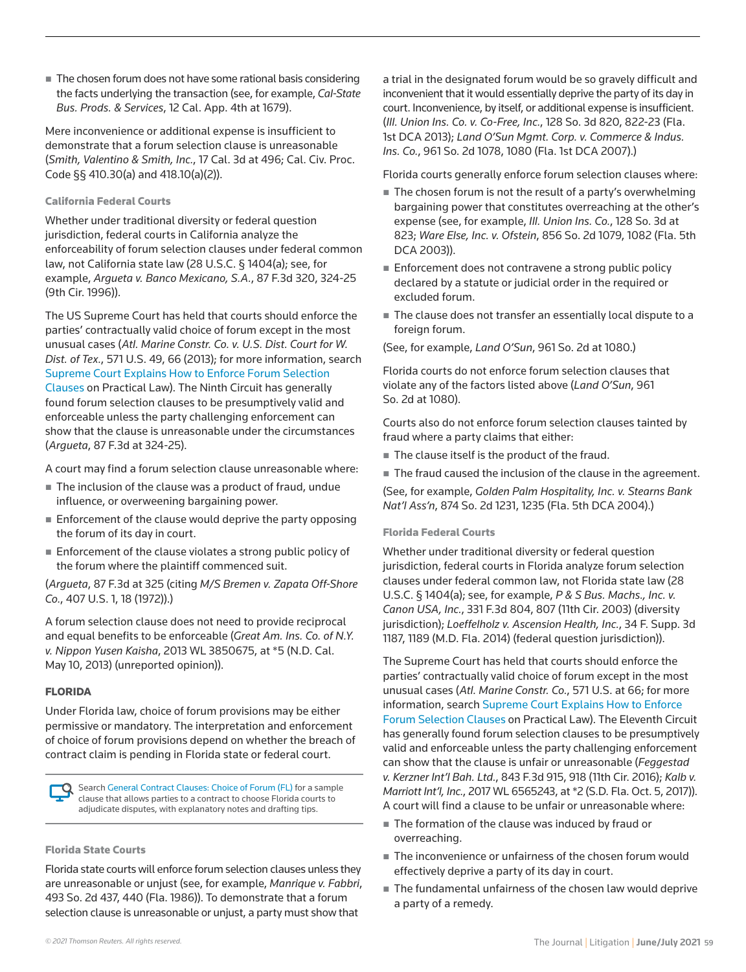■ The chosen forum does not have some rational basis considering the facts underlying the transaction (see, for example, *Cal-State Bus. Prods. & Services*, 12 Cal. App. 4th at 1679).

Mere inconvenience or additional expense is insufficient to demonstrate that a forum selection clause is unreasonable (*Smith, Valentino & Smith, Inc.*, 17 Cal. 3d at 496; Cal. Civ. Proc. Code §§ 410.30(a) and 418.10(a)(2)).

#### California Federal Courts

Whether under traditional diversity or federal question jurisdiction, federal courts in California analyze the enforceability of forum selection clauses under federal common law, not California state law (28 U.S.C. § 1404(a); see, for example, *Argueta v. Banco Mexicano, S.A.*, 87 F.3d 320, 324-25 (9th Cir. 1996)).

The US Supreme Court has held that courts should enforce the parties' contractually valid choice of forum except in the most unusual cases (*Atl. Marine Constr. Co. v. U.S. Dist. Court for W. Dist. of Tex.*, 571 U.S. 49, 66 (2013); for more information, search [Supreme Court Explains How to Enforce Forum Selection](https://us.practicallaw.thomsonreuters.com/7-550-7745)  [Clauses](https://us.practicallaw.thomsonreuters.com/7-550-7745) on Practical Law). The Ninth Circuit has generally found forum selection clauses to be presumptively valid and enforceable unless the party challenging enforcement can show that the clause is unreasonable under the circumstances (*Argueta*, 87 F.3d at 324-25).

A court may find a forum selection clause unreasonable where:

- The inclusion of the clause was a product of fraud, undue influence, or overweening bargaining power.
- **Enforcement of the clause would deprive the party opposing** the forum of its day in court.
- Enforcement of the clause violates a strong public policy of the forum where the plaintiff commenced suit.

(*Argueta*, 87 F.3d at 325 (citing *M/S Bremen v. Zapata Off-Shore Co.*, 407 U.S. 1, 18 (1972)).)

A forum selection clause does not need to provide reciprocal and equal benefits to be enforceable (*Great Am. Ins. Co. of N.Y. v. Nippon Yusen Kaisha*, 2013 WL 3850675, at \*5 (N.D. Cal. May 10, 2013) (unreported opinion)).

## FLORIDA

Under Florida law, choice of forum provisions may be either permissive or mandatory. The interpretation and enforcement of choice of forum provisions depend on whether the breach of contract claim is pending in Florida state or federal court.

Search [General Contract Clauses: Choice of Forum \(FL\)](https://us.practicallaw.thomsonreuters.com/w-000-0202?view=hidealldraftingnotes) for a sample clause that allows parties to a contract to choose Florida courts to adjudicate disputes, with explanatory notes and drafting tips.

#### Florida State Courts

Florida state courts will enforce forum selection clauses unless they are unreasonable or unjust (see, for example, *Manrique v. Fabbri*, 493 So. 2d 437, 440 (Fla. 1986)). To demonstrate that a forum selection clause is unreasonable or unjust, a party must show that

court. Inconvenience, by itself, or additional expense is insufficient. (*Ill. Union Ins. Co. v. Co-Free, Inc.*, 128 So. 3d 820, 822-23 (Fla. 1st DCA 2013); *Land O'Sun Mgmt. Corp. v. Commerce & Indus. Ins. Co.*, 961 So. 2d 1078, 1080 (Fla. 1st DCA 2007).) Florida courts generally enforce forum selection clauses where:  $\blacksquare$  The chosen forum is not the result of a party's overwhelming

bargaining power that constitutes overreaching at the other's expense (see, for example, *Ill. Union Ins. Co.*, 128 So. 3d at 823; *Ware Else, Inc. v. Ofstein*, 856 So. 2d 1079, 1082 (Fla. 5th DCA 2003)).

a trial in the designated forum would be so gravely difficult and inconvenient that it would essentially deprive the party of its day in

- Enforcement does not contravene a strong public policy declared by a statute or judicial order in the required or excluded forum.
- The clause does not transfer an essentially local dispute to a foreign forum.

(See, for example, *Land O'Sun*, 961 So. 2d at 1080.)

Florida courts do not enforce forum selection clauses that violate any of the factors listed above (*Land O'Sun*, 961 So. 2d at 1080).

Courts also do not enforce forum selection clauses tainted by fraud where a party claims that either:

- The clause itself is the product of the fraud.
- The fraud caused the inclusion of the clause in the agreement.

(See, for example, *Golden Palm Hospitality, Inc. v. Stearns Bank Nat'l Ass'n*, 874 So. 2d 1231, 1235 (Fla. 5th DCA 2004).)

#### Florida Federal Courts

Whether under traditional diversity or federal question jurisdiction, federal courts in Florida analyze forum selection clauses under federal common law, not Florida state law (28 U.S.C. § 1404(a); see, for example, *P & S Bus. Machs., Inc. v. Canon USA, Inc.*, 331 F.3d 804, 807 (11th Cir. 2003) (diversity jurisdiction); *Loeffelholz v. Ascension Health, Inc.*, 34 F. Supp. 3d 1187, 1189 (M.D. Fla. 2014) (federal question jurisdiction)).

The Supreme Court has held that courts should enforce the parties' contractually valid choice of forum except in the most unusual cases (*Atl. Marine Constr. Co.*, 571 U.S. at 66; for more information, search [Supreme Court Explains How to Enforce](https://us.practicallaw.thomsonreuters.com/7-550-7745)  [Forum Selection Clauses](https://us.practicallaw.thomsonreuters.com/7-550-7745) on Practical Law). The Eleventh Circuit has generally found forum selection clauses to be presumptively valid and enforceable unless the party challenging enforcement can show that the clause is unfair or unreasonable (*Feggestad v. Kerzner Int'l Bah. Ltd.*, 843 F.3d 915, 918 (11th Cir. 2016); *Kalb v. Marriott Int'l, Inc.*, 2017 WL 6565243, at \*2 (S.D. Fla. Oct. 5, 2017)). A court will find a clause to be unfair or unreasonable where:

- The formation of the clause was induced by fraud or overreaching.
- The inconvenience or unfairness of the chosen forum would effectively deprive a party of its day in court.
- The fundamental unfairness of the chosen law would deprive a party of a remedy.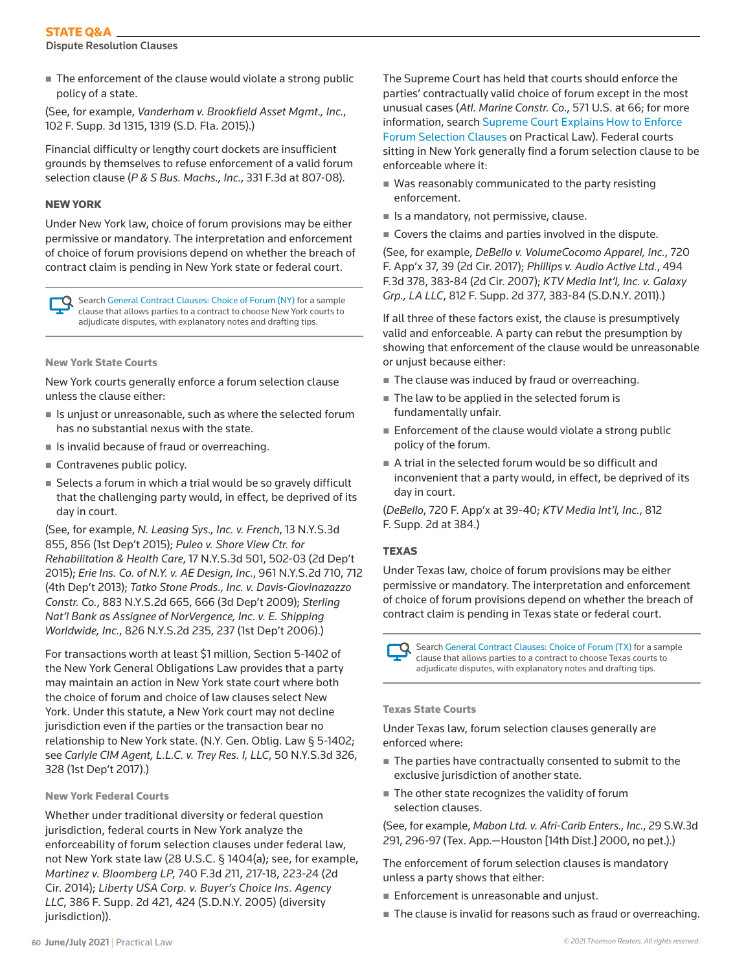# STATE Q&A

Dispute Resolution Clauses

■ The enforcement of the clause would violate a strong public policy of a state.

(See, for example, *Vanderham v. Brookfield Asset Mgmt., Inc.*, 102 F. Supp. 3d 1315, 1319 (S.D. Fla. 2015).)

Financial difficulty or lengthy court dockets are insufficient grounds by themselves to refuse enforcement of a valid forum selection clause (*P & S Bus. Machs., Inc.*, 331 F.3d at 807-08).

## NEW YORK

Under New York law, choice of forum provisions may be either permissive or mandatory. The interpretation and enforcement of choice of forum provisions depend on whether the breach of contract claim is pending in New York state or federal court.

Search [General Contract Clauses: Choice of Forum \(NY\)](https://us.practicallaw.thomsonreuters.com/w-000-0385?view=hidealldraftingnotes) for a sample clause that allows parties to a contract to choose New York courts to adjudicate disputes, with explanatory notes and drafting tips.

New York State Courts

New York courts generally enforce a forum selection clause unless the clause either:

- $\blacksquare$  Is unjust or unreasonable, such as where the selected forum has no substantial nexus with the state.
- $\blacksquare$  Is invalid because of fraud or overreaching.
- Contravenes public policy.
- Selects a forum in which a trial would be so gravely difficult that the challenging party would, in effect, be deprived of its day in court.

(See, for example, *N. Leasing Sys., Inc. v. French*, 13 N.Y.S.3d 855, 856 (1st Dep't 2015); *Puleo v. Shore View Ctr. for Rehabilitation & Health Care*, 17 N.Y.S.3d 501, 502-03 (2d Dep't 2015); *Erie Ins. Co. of N.Y. v. AE Design, Inc.*, 961 N.Y.S.2d 710, 712 (4th Dep't 2013); *Tatko Stone Prods., Inc. v. Davis-Giovinazazzo Constr. Co.*, 883 N.Y.S.2d 665, 666 (3d Dep't 2009); *Sterling Nat'l Bank as Assignee of NorVergence, Inc. v. E. Shipping Worldwide, Inc.*, 826 N.Y.S.2d 235, 237 (1st Dep't 2006).)

For transactions worth at least \$1 million, Section 5-1402 of the New York General Obligations Law provides that a party may maintain an action in New York state court where both the choice of forum and choice of law clauses select New York. Under this statute, a New York court may not decline jurisdiction even if the parties or the transaction bear no relationship to New York state. (N.Y. Gen. Oblig. Law § 5-1402; see *Carlyle CIM Agent, L.L.C. v. Trey Res. I, LLC*, 50 N.Y.S.3d 326, 328 (1st Dep't 2017).)

## New York Federal Courts

Whether under traditional diversity or federal question jurisdiction, federal courts in New York analyze the enforceability of forum selection clauses under federal law, not New York state law (28 U.S.C. § 1404(a); see, for example, *Martinez v. Bloomberg LP*, 740 F.3d 211, 217-18, 223-24 (2d Cir. 2014); *Liberty USA Corp. v. Buyer's Choice Ins. Agency LLC*, 386 F. Supp. 2d 421, 424 (S.D.N.Y. 2005) (diversity jurisdiction)).

The Supreme Court has held that courts should enforce the parties' contractually valid choice of forum except in the most unusual cases (*Atl. Marine Constr. Co.*, 571 U.S. at 66; for more information, search [Supreme Court Explains How to Enforce](https://us.practicallaw.thomsonreuters.com/7-550-7745)  [Forum Selection Clauses](https://us.practicallaw.thomsonreuters.com/7-550-7745) on Practical Law). Federal courts sitting in New York generally find a forum selection clause to be enforceable where it:

- Was reasonably communicated to the party resisting enforcement.
- $\blacksquare$  Is a mandatory, not permissive, clause.
- Covers the claims and parties involved in the dispute.

(See, for example, *DeBello v. VolumeCocomo Apparel, Inc.*, 720 F. App'x 37, 39 (2d Cir. 2017); *Phillips v. Audio Active Ltd.*, 494 F.3d 378, 383-84 (2d Cir. 2007); *KTV Media Int'l, Inc. v. Galaxy Grp., LA LLC*, 812 F. Supp. 2d 377, 383-84 (S.D.N.Y. 2011).)

If all three of these factors exist, the clause is presumptively valid and enforceable. A party can rebut the presumption by showing that enforcement of the clause would be unreasonable or unjust because either:

- The clause was induced by fraud or overreaching.
- The law to be applied in the selected forum is fundamentally unfair.
- $\blacksquare$  Enforcement of the clause would violate a strong public policy of the forum.
- A trial in the selected forum would be so difficult and inconvenient that a party would, in effect, be deprived of its day in court.

(*DeBello*, 720 F. App'x at 39-40; *KTV Media Int'l, Inc.*, 812 F. Supp. 2d at 384.)

# **TEXAS**

Under Texas law, choice of forum provisions may be either permissive or mandatory. The interpretation and enforcement of choice of forum provisions depend on whether the breach of contract claim is pending in Texas state or federal court.

Search [General Contract Clauses: Choice of Forum \(TX\)](https://us.practicallaw.thomsonreuters.com/w-000-0220?view=hidealldraftingnotes) for a sample clause that allows parties to a contract to choose Texas courts to adjudicate disputes, with explanatory notes and drafting tips.

## Texas State Courts

Under Texas law, forum selection clauses generally are enforced where:

- The parties have contractually consented to submit to the exclusive jurisdiction of another state.
- The other state recognizes the validity of forum selection clauses.

(See, for example, *Mabon Ltd. v. Afri-Carib Enters., Inc.*, 29 S.W.3d 291, 296-97 (Tex. App.—Houston [14th Dist.] 2000, no pet.).)

The enforcement of forum selection clauses is mandatory unless a party shows that either:

- **Enforcement is unreasonable and unjust.**
- The clause is invalid for reasons such as fraud or overreaching.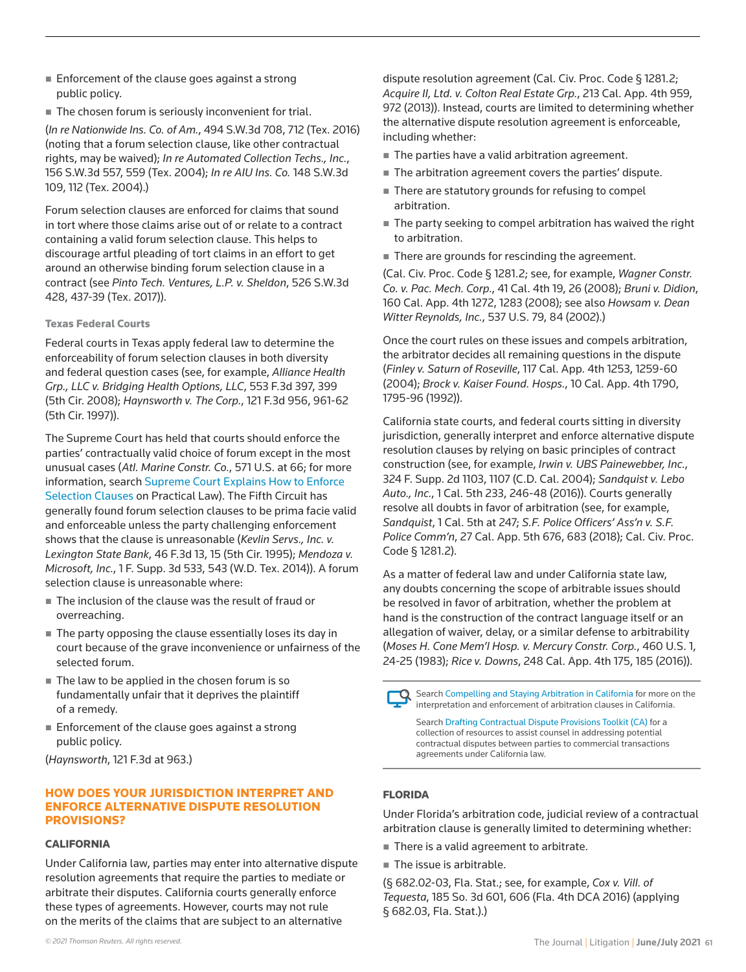- Enforcement of the clause goes against a strong public policy.
- The chosen forum is seriously inconvenient for trial.

(*In re Nationwide Ins. Co. of Am.*, 494 S.W.3d 708, 712 (Tex. 2016) (noting that a forum selection clause, like other contractual rights, may be waived); *In re Automated Collection Techs., Inc.*, 156 S.W.3d 557, 559 (Tex. 2004); *In re AIU Ins. Co.* 148 S.W.3d 109, 112 (Tex. 2004).)

Forum selection clauses are enforced for claims that sound in tort where those claims arise out of or relate to a contract containing a valid forum selection clause. This helps to discourage artful pleading of tort claims in an effort to get around an otherwise binding forum selection clause in a contract (see *Pinto Tech. Ventures, L.P. v. Sheldon*, 526 S.W.3d 428, 437-39 (Tex. 2017)).

## Texas Federal Courts

Federal courts in Texas apply federal law to determine the enforceability of forum selection clauses in both diversity and federal question cases (see, for example, *Alliance Health Grp., LLC v. Bridging Health Options, LLC*, 553 F.3d 397, 399 (5th Cir. 2008); *Haynsworth v. The Corp.*, 121 F.3d 956, 961-62 (5th Cir. 1997)).

The Supreme Court has held that courts should enforce the parties' contractually valid choice of forum except in the most unusual cases (*Atl. Marine Constr. Co.*, 571 U.S. at 66; for more information, search [Supreme Court Explains How to Enforce](https://us.practicallaw.thomsonreuters.com/7-550-7745)  [Selection Clauses](https://us.practicallaw.thomsonreuters.com/7-550-7745) on Practical Law). The Fifth Circuit has generally found forum selection clauses to be prima facie valid and enforceable unless the party challenging enforcement shows that the clause is unreasonable (*Kevlin Servs., Inc. v. Lexington State Bank*, 46 F.3d 13, 15 (5th Cir. 1995); *Mendoza v. Microsoft, Inc.*, 1 F. Supp. 3d 533, 543 (W.D. Tex. 2014)). A forum selection clause is unreasonable where:

- The inclusion of the clause was the result of fraud or overreaching.
- The party opposing the clause essentially loses its day in court because of the grave inconvenience or unfairness of the selected forum.
- The law to be applied in the chosen forum is so fundamentally unfair that it deprives the plaintiff of a remedy.
- Enforcement of the clause goes against a strong public policy.

(*Haynsworth*, 121 F.3d at 963.)

## HOW DOES YOUR JURISDICTION INTERPRET AND ENFORCE ALTERNATIVE DISPUTE RESOLUTION PROVISIONS?

#### CALIFORNIA

Under California law, parties may enter into alternative dispute resolution agreements that require the parties to mediate or arbitrate their disputes. California courts generally enforce these types of agreements. However, courts may not rule on the merits of the claims that are subject to an alternative

dispute resolution agreement (Cal. Civ. Proc. Code § 1281.2; *Acquire II, Ltd. v. Colton Real Estate Grp.*, 213 Cal. App. 4th 959, 972 (2013)). Instead, courts are limited to determining whether the alternative dispute resolution agreement is enforceable, including whether:

- The parties have a valid arbitration agreement.
- The arbitration agreement covers the parties' dispute.
- There are statutory grounds for refusing to compel arbitration.
- The party seeking to compel arbitration has waived the right to arbitration.
- There are grounds for rescinding the agreement.

(Cal. Civ. Proc. Code § 1281.2; see, for example, *Wagner Constr. Co. v. Pac. Mech. Corp*., 41 Cal. 4th 19, 26 (2008); *Bruni v. Didion*, 160 Cal. App. 4th 1272, 1283 (2008); see also *Howsam v. Dean Witter Reynolds, Inc.*, 537 U.S. 79, 84 (2002).)

Once the court rules on these issues and compels arbitration, the arbitrator decides all remaining questions in the dispute (*Finley v. Saturn of Roseville*, 117 Cal. App. 4th 1253, 1259-60 (2004); *Brock v. Kaiser Found. Hosps.*, 10 Cal. App. 4th 1790, 1795-96 (1992)).

California state courts, and federal courts sitting in diversity jurisdiction, generally interpret and enforce alternative dispute resolution clauses by relying on basic principles of contract construction (see, for example, *Irwin v. UBS Painewebber, Inc.*, 324 F. Supp. 2d 1103, 1107 (C.D. Cal. 2004); *Sandquist v. Lebo Auto., Inc.*, 1 Cal. 5th 233, 246-48 (2016)). Courts generally resolve all doubts in favor of arbitration (see, for example, *Sandquist*, 1 Cal. 5th at 247; *S.F. Police Officers' Ass'n v. S.F. Police Comm'n*, 27 Cal. App. 5th 676, 683 (2018); Cal. Civ. Proc. Code § 1281.2).

As a matter of federal law and under California state law, any doubts concerning the scope of arbitrable issues should be resolved in favor of arbitration, whether the problem at hand is the construction of the contract language itself or an allegation of waiver, delay, or a similar defense to arbitrability (*Moses H. Cone Mem'l Hosp. v. Mercury Constr. Corp.*, 460 U.S. 1, 24-25 (1983); *Rice v. Downs*, 248 Cal. App. 4th 175, 185 (2016)).



Search [Compelling and Staying Arbitration in California](https://us.practicallaw.thomsonreuters.com/w-014-6216) for more on the interpretation and enforcement of arbitration clauses in California.

Search [Drafting Contractual Dispute Provisions Toolkit \(CA\)](https://us.practicallaw.thomsonreuters.com/w-010-4539) for a collection of resources to assist counsel in addressing potential contractual disputes between parties to commercial transactions agreements under California law.

## FLORIDA

Under Florida's arbitration code, judicial review of a contractual arbitration clause is generally limited to determining whether:

- There is a valid agreement to arbitrate.
- The issue is arbitrable.

(§ 682.02-03, Fla. Stat.; see, for example, *Cox v. Vill. of Tequesta*, 185 So. 3d 601, 606 (Fla. 4th DCA 2016) (applying § 682.03, Fla. Stat.).)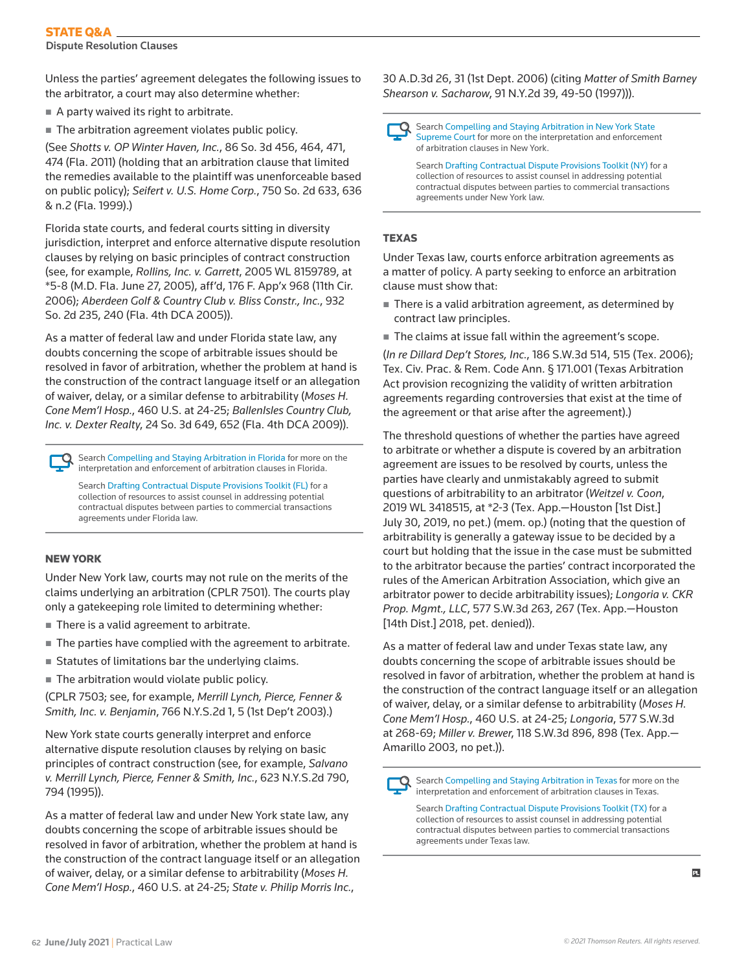## STATE Q&A

Dispute Resolution Clauses

Unless the parties' agreement delegates the following issues to the arbitrator, a court may also determine whether:

- $\blacksquare$  A party waived its right to arbitrate.
- The arbitration agreement violates public policy.

(See *Shotts v. OP Winter Haven, Inc.*, 86 So. 3d 456, 464, 471, 474 (Fla. 2011) (holding that an arbitration clause that limited the remedies available to the plaintiff was unenforceable based on public policy); *Seifert v. U.S. Home Corp.*, 750 So. 2d 633, 636 & n.2 (Fla. 1999).)

Florida state courts, and federal courts sitting in diversity jurisdiction, interpret and enforce alternative dispute resolution clauses by relying on basic principles of contract construction (see, for example, *Rollins, Inc. v. Garrett*, 2005 WL 8159789, at \*5-8 (M.D. Fla. June 27, 2005), aff'd, 176 F. App'x 968 (11th Cir. 2006); *Aberdeen Golf & Country Club v. Bliss Constr., Inc.*, 932 So. 2d 235, 240 (Fla. 4th DCA 2005)).

As a matter of federal law and under Florida state law, any doubts concerning the scope of arbitrable issues should be resolved in favor of arbitration, whether the problem at hand is the construction of the contract language itself or an allegation of waiver, delay, or a similar defense to arbitrability (*Moses H. Cone Mem'l Hosp.*, 460 U.S. at 24-25; *BallenIsles Country Club, Inc. v. Dexter Realty*, 24 So. 3d 649, 652 (Fla. 4th DCA 2009)).

Search [Compelling and Staying Arbitration in Florida](https://us.practicallaw.thomsonreuters.com/w-010-4510) for more on the interpretation and enforcement of arbitration clauses in Florida.

Search [Drafting Contractual Dispute Provisions Toolkit \(FL\)](https://us.practicallaw.thomsonreuters.com/w-007-8922) for a collection of resources to assist counsel in addressing potential contractual disputes between parties to commercial transactions agreements under Florida law.

## NEW YORK

Under New York law, courts may not rule on the merits of the claims underlying an arbitration (CPLR 7501). The courts play only a gatekeeping role limited to determining whether:

- There is a valid agreement to arbitrate.
- The parties have complied with the agreement to arbitrate.
- **Statutes of limitations bar the underlying claims.**
- $\blacksquare$  The arbitration would violate public policy.

(CPLR 7503; see, for example, *Merrill Lynch, Pierce, Fenner & Smith, Inc. v. Benjamin*, 766 N.Y.S.2d 1, 5 (1st Dep't 2003).)

New York state courts generally interpret and enforce alternative dispute resolution clauses by relying on basic principles of contract construction (see, for example, *Salvano v. Merrill Lynch, Pierce, Fenner & Smith, Inc.*, 623 N.Y.S.2d 790, 794 (1995)).

As a matter of federal law and under New York state law, any doubts concerning the scope of arbitrable issues should be resolved in favor of arbitration, whether the problem at hand is the construction of the contract language itself or an allegation of waiver, delay, or a similar defense to arbitrability (*Moses H. Cone Mem'l Hosp.*, 460 U.S. at 24-25; *State v. Philip Morris Inc.*,

30 A.D.3d 26, 31 (1st Dept. 2006) (citing *Matter of Smith Barney Shearson v. Sacharow*, 91 N.Y.2d 39, 49-50 (1997))).

Search [Compelling and Staying Arbitration in New York State](https://us.practicallaw.thomsonreuters.com/6-592-6785)  [Supreme Court](https://us.practicallaw.thomsonreuters.com/6-592-6785) for more on the interpretation and enforcement of arbitration clauses in New York.

Search [Drafting Contractual Dispute Provisions Toolkit \(NY\)](https://us.practicallaw.thomsonreuters.com/w-007-6785) for a collection of resources to assist counsel in addressing potential contractual disputes between parties to commercial transactions agreements under New York law.

## **TEXAS**

Under Texas law, courts enforce arbitration agreements as a matter of policy. A party seeking to enforce an arbitration clause must show that:

- There is a valid arbitration agreement, as determined by contract law principles.
- The claims at issue fall within the agreement's scope.

(*In re Dillard Dep't Stores, Inc.*, 186 S.W.3d 514, 515 (Tex. 2006); Tex. Civ. Prac. & Rem. Code Ann. § 171.001 (Texas Arbitration Act provision recognizing the validity of written arbitration agreements regarding controversies that exist at the time of the agreement or that arise after the agreement).)

The threshold questions of whether the parties have agreed to arbitrate or whether a dispute is covered by an arbitration agreement are issues to be resolved by courts, unless the parties have clearly and unmistakably agreed to submit questions of arbitrability to an arbitrator (*Weitzel v. Coon*, 2019 WL 3418515, at \*2-3 (Tex. App.—Houston [1st Dist.] July 30, 2019, no pet.) (mem. op.) (noting that the question of arbitrability is generally a gateway issue to be decided by a court but holding that the issue in the case must be submitted to the arbitrator because the parties' contract incorporated the rules of the American Arbitration Association, which give an arbitrator power to decide arbitrability issues); *Longoria v. CKR Prop. Mgmt., LLC*, 577 S.W.3d 263, 267 (Tex. App.—Houston [14th Dist.] 2018, pet. denied)).

As a matter of federal law and under Texas state law, any doubts concerning the scope of arbitrable issues should be resolved in favor of arbitration, whether the problem at hand is the construction of the contract language itself or an allegation of waiver, delay, or a similar defense to arbitrability (*Moses H. Cone Mem'l Hosp.*, 460 U.S. at 24-25; *Longoria*, 577 S.W.3d at 268-69; *Miller v. Brewer*, 118 S.W.3d 896, 898 (Tex. App.— Amarillo 2003, no pet.)).

Search [Compelling and Staying Arbitration in Texas](https://us.practicallaw.thomsonreuters.com/w-011-0025) for more on the interpretation and enforcement of arbitration clauses in Texas.

Search [Drafting Contractual Dispute Provisions Toolkit \(TX\)](https://us.practicallaw.thomsonreuters.com/w-007-8921) for a collection of resources to assist counsel in addressing potential contractual disputes between parties to commercial transactions agreements under Texas law.